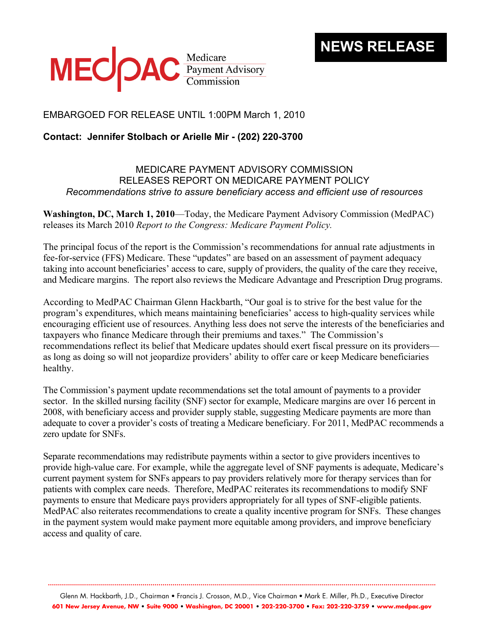

## EMBARGOED FOR RELEASE UNTIL 1:00PM March 1, 2010

## **Contact: Jennifer Stolbach or Arielle Mir - (202) 220-3700**

## MEDICARE PAYMENT ADVISORY COMMISSION RELEASES REPORT ON MEDICARE PAYMENT POLICY *Recommendations strive to assure beneficiary access and efficient use of resources*

**Washington, DC, March 1, 2010**—Today, the Medicare Payment Advisory Commission (MedPAC) releases its March 2010 *Report to the Congress: Medicare Payment Policy.* 

The principal focus of the report is the Commission's recommendations for annual rate adjustments in fee-for-service (FFS) Medicare. These "updates" are based on an assessment of payment adequacy taking into account beneficiaries' access to care, supply of providers, the quality of the care they receive, and Medicare margins. The report also reviews the Medicare Advantage and Prescription Drug programs.

According to MedPAC Chairman Glenn Hackbarth, "Our goal is to strive for the best value for the program's expenditures, which means maintaining beneficiaries' access to high-quality services while encouraging efficient use of resources. Anything less does not serve the interests of the beneficiaries and taxpayers who finance Medicare through their premiums and taxes." The Commission's recommendations reflect its belief that Medicare updates should exert fiscal pressure on its providers as long as doing so will not jeopardize providers' ability to offer care or keep Medicare beneficiaries healthy.

The Commission's payment update recommendations set the total amount of payments to a provider sector. In the skilled nursing facility (SNF) sector for example, Medicare margins are over 16 percent in 2008, with beneficiary access and provider supply stable, suggesting Medicare payments are more than adequate to cover a provider's costs of treating a Medicare beneficiary. For 2011, MedPAC recommends a zero update for SNFs.

Separate recommendations may redistribute payments within a sector to give providers incentives to provide high-value care. For example, while the aggregate level of SNF payments is adequate, Medicare's current payment system for SNFs appears to pay providers relatively more for therapy services than for patients with complex care needs. Therefore, MedPAC reiterates its recommendations to modify SNF payments to ensure that Medicare pays providers appropriately for all types of SNF-eligible patients. MedPAC also reiterates recommendations to create a quality incentive program for SNFs. These changes in the payment system would make payment more equitable among providers, and improve beneficiary access and quality of care.

Glenn M. Hackbarth, J.D., Chairman • Francis J. Crosson, M.D., Vice Chairman • Mark E. Miller, Ph.D., Executive Director **601 New Jersey Avenue, NW • Suite 9000 • Washington, DC 20001 • 202-220-3700 • Fax: 202-220-3759 • www.medpac.gov** 

**.................................................................................................................................................................................................**